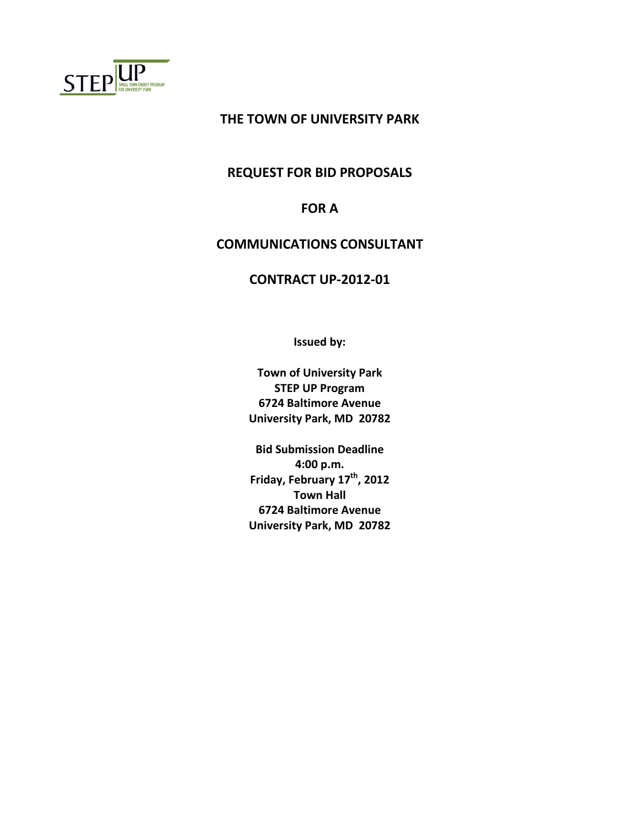

# **THE TOWN OF UNIVERSITY PARK**

#### **REQUEST FOR BID PROPOSALS**

# **FOR A**

## **COMMUNICATIONS CONSULTANT**

## **CONTRACT UP-2012-01**

**Issued by:**

**Town of University Park STEP UP Program 6724 Baltimore Avenue University Park, MD 20782**

**Bid Submission Deadline 4:00 p.m. Friday, February 17th , 2012 Town Hall 6724 Baltimore Avenue University Park, MD 20782**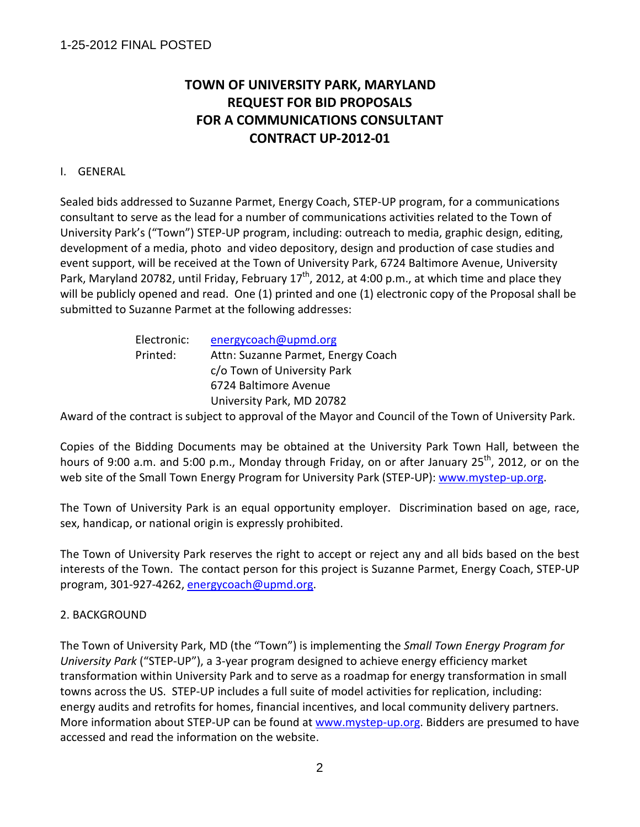# **TOWN OF UNIVERSITY PARK, MARYLAND REQUEST FOR BID PROPOSALS FOR A COMMUNICATIONS CONSULTANT CONTRACT UP-2012-01**

## I. GENERAL

Sealed bids addressed to Suzanne Parmet, Energy Coach, STEP-UP program, for a communications consultant to serve as the lead for a number of communications activities related to the Town of University Park's ("Town") STEP-UP program, including: outreach to media, graphic design, editing, development of a media, photo and video depository, design and production of case studies and event support, will be received at the Town of University Park, 6724 Baltimore Avenue, University Park, Maryland 20782, until Friday, February  $17<sup>th</sup>$ , 2012, at 4:00 p.m., at which time and place they will be publicly opened and read. One (1) printed and one (1) electronic copy of the Proposal shall be submitted to Suzanne Parmet at the following addresses:

| Electronic: | energycoach@upmd.org               |
|-------------|------------------------------------|
| Printed:    | Attn: Suzanne Parmet, Energy Coach |
|             | c/o Town of University Park        |
|             | 6724 Baltimore Avenue              |
|             | University Park, MD 20782          |

Award of the contract is subject to approval of the Mayor and Council of the Town of University Park.

Copies of the Bidding Documents may be obtained at the University Park Town Hall, between the hours of 9:00 a.m. and 5:00 p.m., Monday through Friday, on or after January 25<sup>th</sup>, 2012, or on the web site of the Small Town Energy Program for University Park (STEP-UP): [www.mystep-up.org.](http://www.mystep-up.org/)

The Town of University Park is an equal opportunity employer. Discrimination based on age, race, sex, handicap, or national origin is expressly prohibited.

The Town of University Park reserves the right to accept or reject any and all bids based on the best interests of the Town. The contact person for this project is Suzanne Parmet, Energy Coach, STEP-UP program, 301-927-4262, [energycoach@upmd.org.](mailto:energycoach@upmd.org)

## 2. BACKGROUND

The Town of University Park, MD (the "Town") is implementing the *Small Town Energy Program for University Park* ("STEP-UP"), a 3-year program designed to achieve energy efficiency market transformation within University Park and to serve as a roadmap for energy transformation in small towns across the US. STEP-UP includes a full suite of model activities for replication, including: energy audits and retrofits for homes, financial incentives, and local community delivery partners. More information about STEP-UP can be found at [www.mystep-up.org.](http://www.mystep-up.org/) Bidders are presumed to have accessed and read the information on the website.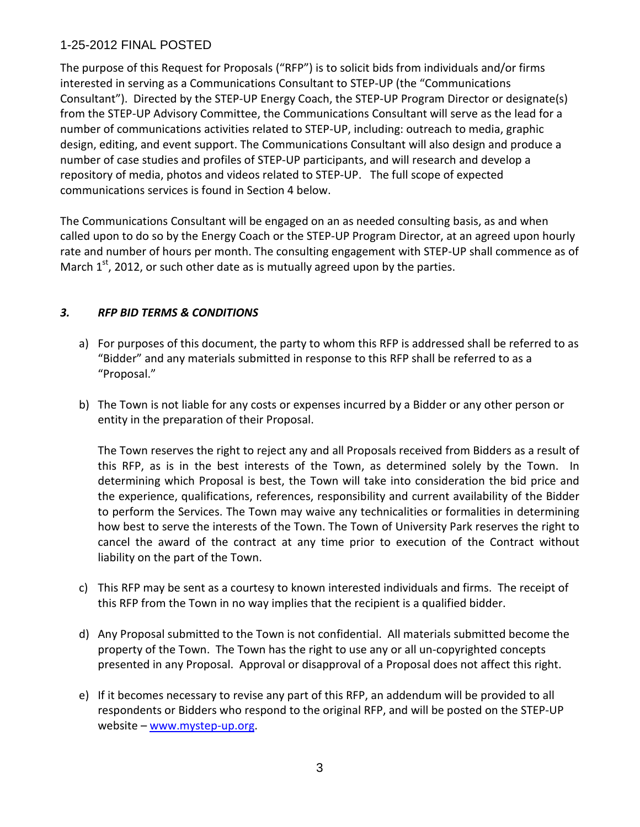The purpose of this Request for Proposals ("RFP") is to solicit bids from individuals and/or firms interested in serving as a Communications Consultant to STEP-UP (the "Communications Consultant"). Directed by the STEP-UP Energy Coach, the STEP-UP Program Director or designate(s) from the STEP-UP Advisory Committee, the Communications Consultant will serve as the lead for a number of communications activities related to STEP-UP, including: outreach to media, graphic design, editing, and event support. The Communications Consultant will also design and produce a number of case studies and profiles of STEP-UP participants, and will research and develop a repository of media, photos and videos related to STEP-UP. The full scope of expected communications services is found in Section 4 below.

The Communications Consultant will be engaged on an as needed consulting basis, as and when called upon to do so by the Energy Coach or the STEP-UP Program Director, at an agreed upon hourly rate and number of hours per month. The consulting engagement with STEP-UP shall commence as of March  $1<sup>st</sup>$ , 2012, or such other date as is mutually agreed upon by the parties.

## *3. RFP BID TERMS & CONDITIONS*

- a) For purposes of this document, the party to whom this RFP is addressed shall be referred to as "Bidder" and any materials submitted in response to this RFP shall be referred to as a "Proposal."
- b) The Town is not liable for any costs or expenses incurred by a Bidder or any other person or entity in the preparation of their Proposal.

The Town reserves the right to reject any and all Proposals received from Bidders as a result of this RFP, as is in the best interests of the Town, as determined solely by the Town. In determining which Proposal is best, the Town will take into consideration the bid price and the experience, qualifications, references, responsibility and current availability of the Bidder to perform the Services. The Town may waive any technicalities or formalities in determining how best to serve the interests of the Town. The Town of University Park reserves the right to cancel the award of the contract at any time prior to execution of the Contract without liability on the part of the Town.

- c) This RFP may be sent as a courtesy to known interested individuals and firms. The receipt of this RFP from the Town in no way implies that the recipient is a qualified bidder.
- d) Any Proposal submitted to the Town is not confidential. All materials submitted become the property of the Town. The Town has the right to use any or all un-copyrighted concepts presented in any Proposal. Approval or disapproval of a Proposal does not affect this right.
- e) If it becomes necessary to revise any part of this RFP, an addendum will be provided to all respondents or Bidders who respond to the original RFP, and will be posted on the STEP-UP website – [www.mystep-up.org.](http://www.mystep-up.org/)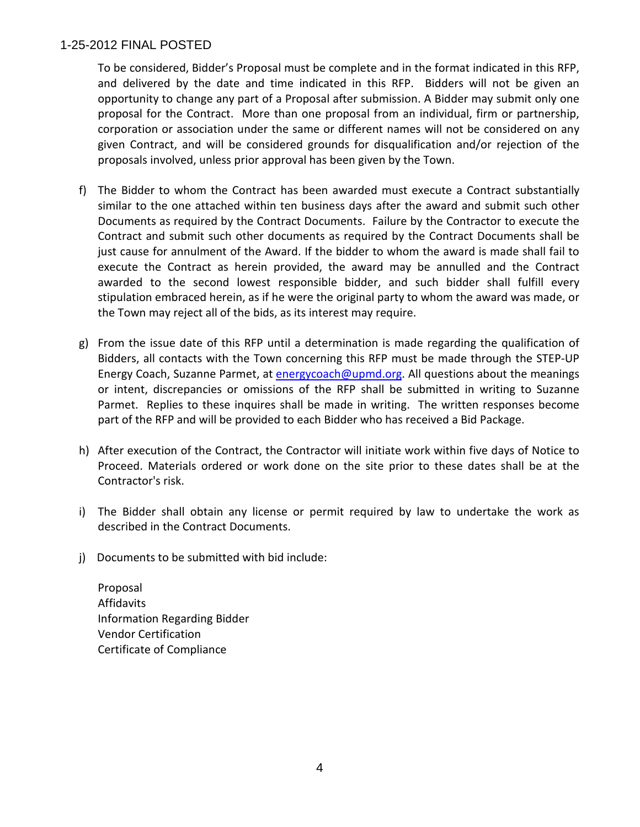To be considered, Bidder's Proposal must be complete and in the format indicated in this RFP, and delivered by the date and time indicated in this RFP. Bidders will not be given an opportunity to change any part of a Proposal after submission. A Bidder may submit only one proposal for the Contract. More than one proposal from an individual, firm or partnership, corporation or association under the same or different names will not be considered on any given Contract, and will be considered grounds for disqualification and/or rejection of the proposals involved, unless prior approval has been given by the Town.

- f) The Bidder to whom the Contract has been awarded must execute a Contract substantially similar to the one attached within ten business days after the award and submit such other Documents as required by the Contract Documents. Failure by the Contractor to execute the Contract and submit such other documents as required by the Contract Documents shall be just cause for annulment of the Award. If the bidder to whom the award is made shall fail to execute the Contract as herein provided, the award may be annulled and the Contract awarded to the second lowest responsible bidder, and such bidder shall fulfill every stipulation embraced herein, as if he were the original party to whom the award was made, or the Town may reject all of the bids, as its interest may require.
- g) From the issue date of this RFP until a determination is made regarding the qualification of Bidders, all contacts with the Town concerning this RFP must be made through the STEP-UP Energy Coach, Suzanne Parmet, at [energycoach@upmd.org.](mailto:energycoach@upmd.org) All questions about the meanings or intent, discrepancies or omissions of the RFP shall be submitted in writing to Suzanne Parmet. Replies to these inquires shall be made in writing. The written responses become part of the RFP and will be provided to each Bidder who has received a Bid Package.
- h) After execution of the Contract, the Contractor will initiate work within five days of Notice to Proceed. Materials ordered or work done on the site prior to these dates shall be at the Contractor's risk.
- i) The Bidder shall obtain any license or permit required by law to undertake the work as described in the Contract Documents.
- j) Documents to be submitted with bid include:

Proposal Affidavits Information Regarding Bidder Vendor Certification Certificate of Compliance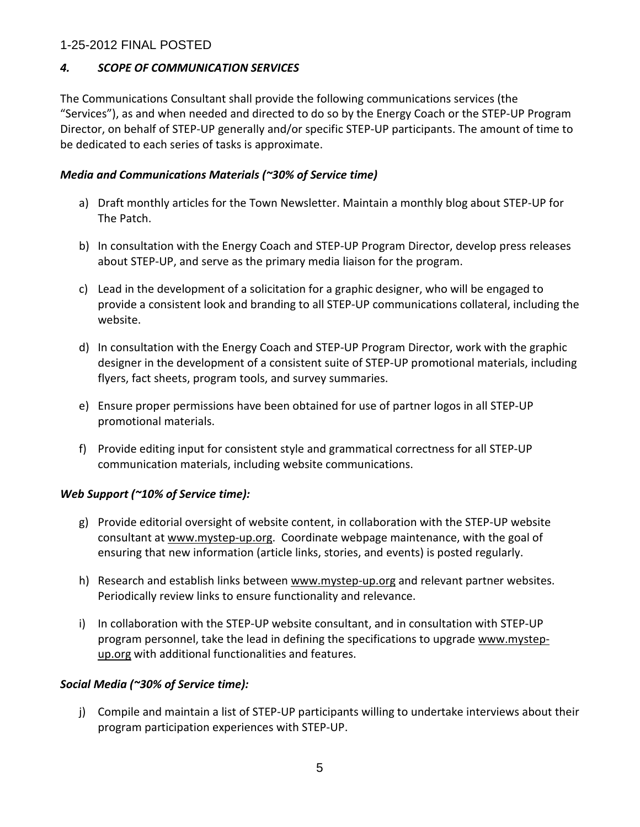## *4. SCOPE OF COMMUNICATION SERVICES*

The Communications Consultant shall provide the following communications services (the "Services"), as and when needed and directed to do so by the Energy Coach or the STEP-UP Program Director, on behalf of STEP-UP generally and/or specific STEP-UP participants. The amount of time to be dedicated to each series of tasks is approximate.

## *Media and Communications Materials (~30% of Service time)*

- a) Draft monthly articles for the Town Newsletter. Maintain a monthly blog about STEP-UP for The Patch.
- b) In consultation with the Energy Coach and STEP-UP Program Director, develop press releases about STEP-UP, and serve as the primary media liaison for the program.
- c) Lead in the development of a solicitation for a graphic designer, who will be engaged to provide a consistent look and branding to all STEP-UP communications collateral, including the website.
- d) In consultation with the Energy Coach and STEP-UP Program Director, work with the graphic designer in the development of a consistent suite of STEP-UP promotional materials, including flyers, fact sheets, program tools, and survey summaries.
- e) Ensure proper permissions have been obtained for use of partner logos in all STEP-UP promotional materials.
- f) Provide editing input for consistent style and grammatical correctness for all STEP-UP communication materials, including website communications.

# *Web Support (~10% of Service time):*

- g) Provide editorial oversight of website content, in collaboration with the STEP-UP website consultant at [www.mystep-up.org.](http://www.mystep-up.org/) Coordinate webpage maintenance, with the goal of ensuring that new information (article links, stories, and events) is posted regularly.
- h) Research and establish links between [www.mystep-up.org](http://www.mystep-up.org/) and relevant partner websites. Periodically review links to ensure functionality and relevance.
- i) In collaboration with the STEP-UP website consultant, and in consultation with STEP-UP program personnel, take the lead in defining the specifications to upgrade [www.mystep](http://www.mystep-up.org/)[up.org](http://www.mystep-up.org/) with additional functionalities and features.

# *Social Media (~30% of Service time):*

j) Compile and maintain a list of STEP-UP participants willing to undertake interviews about their program participation experiences with STEP-UP.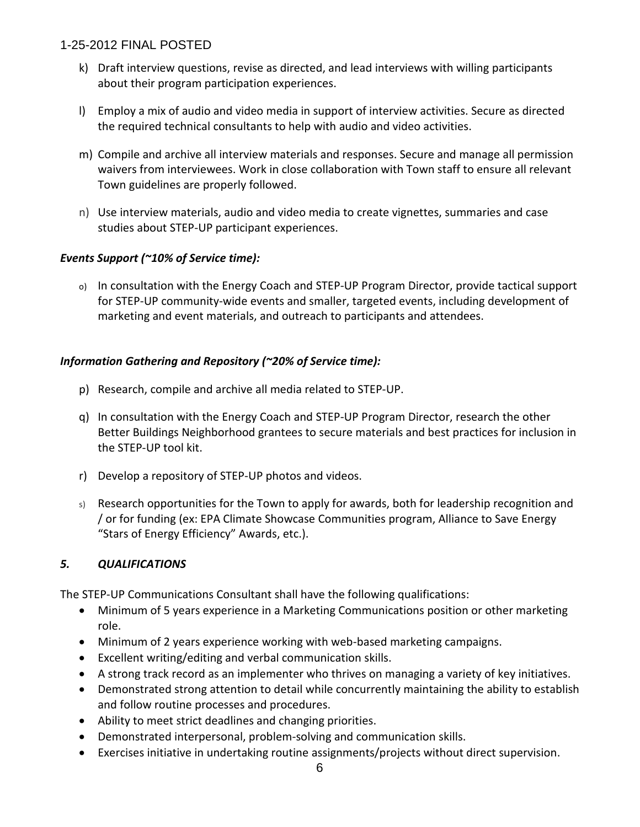- k) Draft interview questions, revise as directed, and lead interviews with willing participants about their program participation experiences.
- l) Employ a mix of audio and video media in support of interview activities. Secure as directed the required technical consultants to help with audio and video activities.
- m) Compile and archive all interview materials and responses. Secure and manage all permission waivers from interviewees. Work in close collaboration with Town staff to ensure all relevant Town guidelines are properly followed.
- n) Use interview materials, audio and video media to create vignettes, summaries and case studies about STEP-UP participant experiences.

## *Events Support (~10% of Service time):*

o) In consultation with the Energy Coach and STEP-UP Program Director, provide tactical support for STEP-UP community-wide events and smaller, targeted events, including development of marketing and event materials, and outreach to participants and attendees.

## *Information Gathering and Repository (~20% of Service time):*

- p) Research, compile and archive all media related to STEP-UP.
- q) In consultation with the Energy Coach and STEP-UP Program Director, research the other Better Buildings Neighborhood grantees to secure materials and best practices for inclusion in the STEP-UP tool kit.
- r) Develop a repository of STEP-UP photos and videos.
- s) Research opportunities for the Town to apply for awards, both for leadership recognition and / or for funding (ex: EPA Climate Showcase Communities program, Alliance to Save Energy "Stars of Energy Efficiency" Awards, etc.).

## *5. QUALIFICATIONS*

The STEP-UP Communications Consultant shall have the following qualifications:

- Minimum of 5 years experience in a Marketing Communications position or other marketing role.
- Minimum of 2 years experience working with web-based marketing campaigns.
- Excellent writing/editing and verbal communication skills.
- A strong track record as an implementer who thrives on managing a variety of key initiatives.
- Demonstrated strong attention to detail while concurrently maintaining the ability to establish and follow routine processes and procedures.
- Ability to meet strict deadlines and changing priorities.
- Demonstrated interpersonal, problem-solving and communication skills.
- Exercises initiative in undertaking routine assignments/projects without direct supervision.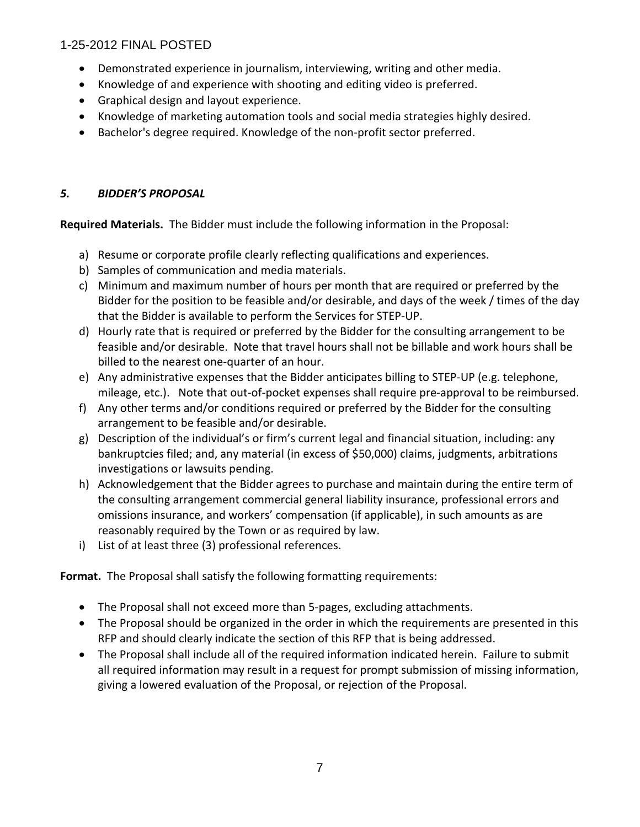- Demonstrated experience in journalism, interviewing, writing and other media.
- Knowledge of and experience with shooting and editing video is preferred.
- Graphical design and layout experience.
- Knowledge of marketing automation tools and social media strategies highly desired.
- Bachelor's degree required. Knowledge of the non-profit sector preferred.

# *5. BIDDER'S PROPOSAL*

**Required Materials.** The Bidder must include the following information in the Proposal:

- a) Resume or corporate profile clearly reflecting qualifications and experiences.
- b) Samples of communication and media materials.
- c) Minimum and maximum number of hours per month that are required or preferred by the Bidder for the position to be feasible and/or desirable, and days of the week / times of the day that the Bidder is available to perform the Services for STEP-UP.
- d) Hourly rate that is required or preferred by the Bidder for the consulting arrangement to be feasible and/or desirable. Note that travel hours shall not be billable and work hours shall be billed to the nearest one-quarter of an hour.
- e) Any administrative expenses that the Bidder anticipates billing to STEP-UP (e.g. telephone, mileage, etc.). Note that out-of-pocket expenses shall require pre-approval to be reimbursed.
- f) Any other terms and/or conditions required or preferred by the Bidder for the consulting arrangement to be feasible and/or desirable.
- g) Description of the individual's or firm's current legal and financial situation, including: any bankruptcies filed; and, any material (in excess of \$50,000) claims, judgments, arbitrations investigations or lawsuits pending.
- h) Acknowledgement that the Bidder agrees to purchase and maintain during the entire term of the consulting arrangement commercial general liability insurance, professional errors and omissions insurance, and workers' compensation (if applicable), in such amounts as are reasonably required by the Town or as required by law.
- i) List of at least three (3) professional references.

**Format.** The Proposal shall satisfy the following formatting requirements:

- The Proposal shall not exceed more than 5-pages, excluding attachments.
- The Proposal should be organized in the order in which the requirements are presented in this RFP and should clearly indicate the section of this RFP that is being addressed.
- The Proposal shall include all of the required information indicated herein. Failure to submit all required information may result in a request for prompt submission of missing information, giving a lowered evaluation of the Proposal, or rejection of the Proposal.